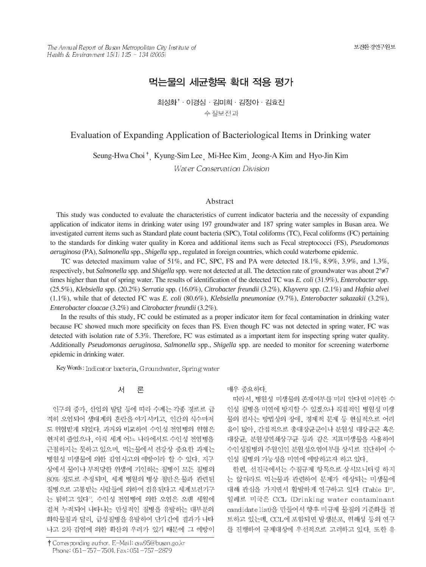The Annual Report of Busan Metropolitan City Institute of Health & Environment  $15(1)$   $125 \sim 134$  (2005)

# 먹는물의 세균항목 확대 적용 평가

최성화<sup>\*</sup> · 이경심 · 김미희 · 김정아 · 김효진 수질보전과

### Evaluation of Expanding Application of Bacteriological Items in Drinking water

Seung-Hwa Choi<sup>†</sup>, Kyung-Sim Lee Mi-Hee Kim Jeong-A Kim and Hyo-Jin Kim

Water Conservation Division

### Abstract

This study was conducted to evaluate the characteristics of current indicator bacteria and the necessity of expanding application of indicator items in drinking water using 197 groundwater and 187 spring water samples in Busan area. We investigated current items such as Standard plate count bacteria (SPC), Total coliforms (TC), Fecal coliforms (FC) pertaining to the standards for dinking water quality in Korea and additional items such as Fecal streptococci (FS), *Pseudomonas aeruginosa* (PA), *Salmonella* spp., *Shigella* spp., regulated in foreign countries, which could waterborne epidemic.

TC was detected maximum value of 51%, and FC, SPC, FS and PA were detected 18.1%, 8.9%, 3.9%, and 1.3%, respectively, but *Salmonella* spp. and *Shigella* spp. were not detected at all. The detection rate of groundwater was about 2°≠7 times higher than that of spring water. The results of identification of the detected TC was *E. coli* (31.9%), *Enterobacter* spp. (25.5%), *Klebsiella* spp. (20.2%) *Serratia* spp. (16.0%), *Citrobacter freundii* (3.2%), *Kluyvera* spp. (2.1%) and *Hafnia alvei* (1.1%), while that of detected FC was *E. coli* (80.6%), *Klebsiella pneumoniae* (9.7%), *Enterobacter sakazakii* (3.2%), *Enterobacter cloacae* (3.2%) and *Citrobacter freundii* (3.2%).

In the results of this study, FC could be estimated as a proper indicator item for fecal contamination in drinking water because FC showed much more specificity on feces than FS. Even though FC was not detected in spring water, FC was detected with isolation rate of 5.3%. Therefore, FC was estimated as a important item for inspecting spring water quality. Additionally *Pseudomonas aeruginosa*, *Salmonella* spp., *Shigella* spp. are needed to monitor for screening waterborne epidemic in drinking water.

Key Words: Indicator bacteria, Groundwater, Spring water

#### 서 론

인구의 증가, 산업의 발달 등에 따라 수계는 각종 경로로 급 격히 오염되어 생태계의 혼란을 야기시키고, 인간의 식수마저 도 위협받게 되었다. 과거와 비교하여 수인성 전염병의 위협은 현저히 줄었으나, 아직 세계 어느 나라에서도 수인성 전염병을 근절하지는 못하고 있으며, 먹는물에서 건강상 중요한 과제는 병원성 미생물에 의한 감염사고의 예방이라 할 수 있다. 지구 상에서 물이나 부적당한 위생에 기인하는 질병이 모든 질병의 80% 정도로 추정되며, 세계 병원의 병상 절반은 물과 관련된 질병으로 고통받는 사람들에 의하여 점유된다고 세계보건기구 는 밝히고 있다". 수인성 전염병에 의한 오염은 오랜 세월에 걸쳐 누적되어 나타나는 만성적인 질병을 유발하는 대부분의 화학물질과 달리, 급성질병을 유발하여 단기간에 결과가 나타 나고 2차 감염에 의한 확산의 우려가 있기 때문에 그 예방이

† Corresponding author. E-Mail: csw95@busan.go.kr Phone: 051-757-7504, Fax: 051-757-2879

매우 중요하다.

따라서, 병원성 미생물의 존재여부를 미리 안다면 이러한 수 인성 질병을 미연에 방지할 수 있겠으나 직접적인 병원성 미생 물의 검사는 방법상의 장애, 경제적 문제 등 현실적으로 어려 움이 많아. 간접적으로 총대장균군이나 분원성 대장균군 혹은 대장균, 분원성연쇄상구균 등과 같은 지표미생물을 사용하여 수인성질병의 주원인인 분원성오염여부를 상시로 진단하여 수 인성 질병의 가능성을 미연에 예방하고자 하고 있다.

한편, 선진국에서는 수질규제 항목으로 상시모니터링 하지 는 않더라도 먹는물과 관련하여 문제가 예상되는 미생물에 대해 관심을 가지면서 활발하게 연구하고 있다 (Table 1)22. 일례로 미국은 CCL (Drinking water contaminant candidate list)을 만들어서 향후 미규제 물질의 기준화를 검 토하고 있는데, CCL에 포함되면 발생분포, 위해성 등의 연구 를 진행하여 규제대상에 우선적으로 고려하고 있다. 또한 유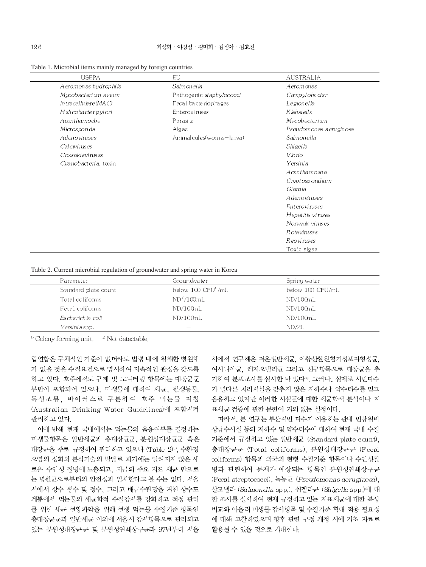#### 최성화 · 이경심 · 김미희 · 김정아 · 김효진

| <b>USEPA</b>             | <b>EU</b>                    | <b>AUSTRALIA</b>       |
|--------------------------|------------------------------|------------------------|
| Aeromonas hydrophila     | Salmonella                   | Aeromonas              |
| Mycobacterium avium      | Pathogenic staphylococci     | Campylobacter          |
| $intrac{el$ lulare (MAC) | Fecal bacteriophages         | Legionella             |
| Helicobacterpylori       | Enteroviruses                | Klebsiella             |
| Acanthamoeba             | Parasite                     | Mycobacterium          |
| Microspori da            | Algae                        | Pseudomonas aeruginosa |
| Adenoviruses             | Animal cul es (worms-la rva) | Salmonella             |
| Calciviruses             |                              | Shigella               |
| Coxsaki evi rus es       |                              | Vibrio                 |
| Cyanobacteria, toxin     |                              | Yersinia               |
|                          |                              | Acanthamoeba           |
|                          |                              | Cryptosporidium        |
|                          |                              | Giardia                |
|                          |                              | Adenoviruses           |
|                          |                              | Enteroviruses          |
|                          |                              | Hepatitis viruses      |
|                          |                              | Norwalk viruses        |
|                          |                              | <i>Rotaviruses</i>     |
|                          |                              | Reoviruses             |
|                          |                              | Toxic algae            |

Table 1. Microbial items mainly managed by foreign countries

Table 2. Current microbial regulation of groundwater and spring water in Korea

| Parameter            | Groundwater              | Spring water     |
|----------------------|--------------------------|------------------|
| Standard plate count | below 100 CFU'/mL        | below 100 CFU/mL |
| Total coliforms      | $ND^2/100mL$             | ND/100mL         |
| Fecal coliforms      | ND/100mL                 | ND/100mL         |
| Escherichia coli     | ND/100mL                 | ND/100mL         |
| Yersinia spp.        | $\overline{\phantom{a}}$ | ND/2L            |

<sup>11</sup> Colony forming unit.  $\degree$  Not detectable.

럽연합은 구체적인 기준이 없더라도 법령 내에 위해한 병원체 가 없을 것을 수질요건으로 명시하여 지속적인 관심을 갖도록 하고 있다. 호주에서도 규제 및 모니터링 항목에는 대장균군 류만이 포함되어 있으나, 미생물에 대하여 세균, 원생동물, 독성조류, 바이러스로 구분하여 호주 먹는물 지침 (Australian Drinking Water Guidelines)에 포함시켜 관리하고 있다.

이에 반해 현재 국내에서는 먹는물의 음용여부를 결정하는 미생물항목은 일반세균과 총대장균군, 분원성대장균군 혹은 대장균을 주로 규정하여 관리하고 있으나 (Table 2)32, 수환경 오염의 심화와 분석기술의 발달로 과거에는 알려지지 않은 새 로운 수인성 질병에 노출되고, 지금의 주요 지표 세균 만으로 는 병원균으로부터의 안전성과 일치한다고 볼 수는 없다. 서울 시에서 상수 원수 및 정수, 그리고 배급수관망을 거친 상수도 계통에서 먹는물의 세균학적 수질감시를 강화하고 적정 관리 를 위한 세균 현황파악을 위해 현행 먹는물 수질기준 항목인 총대장균군과 일반세균 이외에 서울시 감시항목으로 관리되고 있는 분원성대장균군 및 분원성연쇄상구균과 97년부터 서울

시에서 연구해온 저온일반세균, 아황산환원혐기성포자형성균, 여시니아균, 레지오넬라균 그리고 신규항목으로 대장균을 추 가하여 분포조사를 실시한 바 있다<sup>4</sup>. 그러나, 실제로 시민다수 가 별다른 처리시설을 갖추지 않은 지하수나 약수터수를 믿고 음용하고 있지만 이러한 시설들에 대한 세균학적 분석이나 지 표세균 검증에 관한 문헌이 거의 없는 실정이다.

따라서, 본 연구는 부산시민 다수가 이용하는 관내 민방위비 상급수시설 등의 지하수 및 약수터수에 대하여 현재 국내 수질 기준에서 규정하고 있는 일반세균 (Standard plate count), 총대장균군 (Total coliforms), 분원성대장균군 (Fecal coliforms) 항목과 외국의 현행 수질기준 항목이나 수인성질 병과 관련하여 문제가 예상되는 항목인 분원성연쇄상구균 (Fecal streptococci), 녹농균 (Pseudomonas aeruginosa), 살모넬라 (Salmonella spp.), 쉬겔라균 (Shigella spp.)에 대 한 조사를 실시하여 현재 규정하고 있는 지표세균에 대한 특성 비교와 아울러 미생물 감시항목 및 수질기준 확대 적용 필요성 에 대해 고찰하였으며 향후 관련 규정 개정 시에 기초 자료로 활용될 수 있을 것으로 기대한다.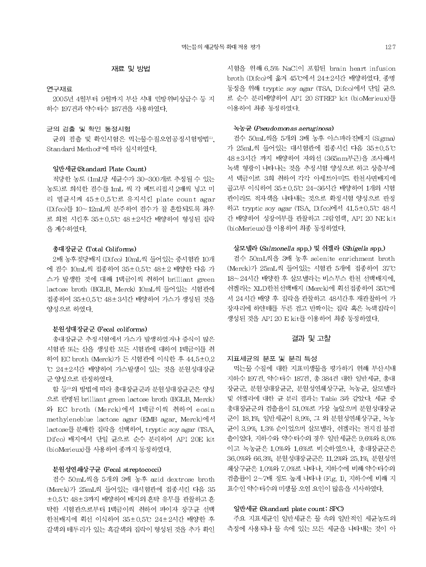### 연구재료

2005년 4월부터 9월까지 부산 시내 민방위비상급수 등 지 하수 197건과 약수터수 187건을 사용하였다.

### 균의 검출 및 확인 동정시험

균의 검출 및 확인시험은 먹는물수질오염공정시험방법<sup>5</sup>, Standard Method<sup>60</sup>에 따라 실시하였다.

### 일반세균 (Standard Plate Count)

적당한 농도 (1mL당 세균수가 30-300개로 추정될 수 있는 농도)로 회석한 검수를 1mL 씩 각 페트리접시 2매씩 넣고 미 리 멸균시켜 45±0.5℃로 유지시킨 plate count agar (Difco)를 10~12mL씩 분주하여 검수가 잘 혼합되도록 좌우 로 회전 시킨후 35±0.5℃ 48±2시간 배양하여 형성된 집락 을 계수하였다.

### 총대장균군 (Total Coliforms)

2배 농후젖당배지 (Difco) 10mL씩 들어있는 중시험관 10개 에 검수 10mL씩 접종하여 35±0.5℃ 48±2 배양한 다음 가 스가 발생한 것에 대해 1백금이씩 취하여 brilliant green lactose broth (BGLB, Merck) 10mL씩 들어있는 시험관에 접종하여 35±0.5℃ 48±3시간 배양하여 가스가 생성된 것을 양성으로 하였다.

#### 분원성대장균군 (Fecal coliforms)

총대장균군 추정시험에서 가스가 발생하였거나 증식이 많은 시험관 또는 산을 생성한 모든 시험관에 대하여 1백금이를 취 하여 EC broth (Merck)가 든 시험관에 이식한 후 44.5±0.2 ℃ 24±2시간 배양하여 가스발생이 있는 것을 분원성대장균 군 양성으로 판정하였다.

함 등 의 방법에 따라 총대장균군과 분원성대장균군은 양성 으로 판명된 brilliant green lactose broth (BGLB, Merck) 와 EC broth (Merck)에서 1백금이씩 취하여 eosin methyleneblue lactose agar (EMB agar, Merck)에서 lactose를 분해한 집락을 선택하여, tryptic soy agar (TSA, Difco) 배지에서 단일 균으로 순수 분리하여 API 20E kit (bioMerieux)를 사용하여 종까지 동정하였다.

#### 분원성연쇄상구균 (Fecal streptococci)

검수 50mL씩을 5개의 3배 농후 azid dextrose broth (Merck)가 25mL씩 들어있는 대시험관에 접종시킨 다음 35 ±0.5℃ 48±3까지 배양하여 배지의 혼탁 유무를 관찰하고 혼 탁한 시험관으로부터 1백금이씩 취하여 파이자 장구균 선택 한천배지에 획선 이식하여 35±0.5℃ 24±2시간 배양한 후 갈색의 테두리가 있는 흑갈색의 집락이 형성된 것을 추가 확인 시험을 위해 6.5% NaCl이 포함된 brain heart infusion broth (Difco)에 옮겨 45°C에서 24±2시간 배양하였다. 종명 동정을 위해 tryptic soy agar (TSA, Difco)에서 단일 균으 로 순수 분리배양하여 API 20 STREP kit (bioMerieux)를 이용하여 최종 동정하였다.

#### 녹농균 (Pseudomonas aeruginosa)

검수 50mL씩을 5개의 3배 농후 아스파라진배지 (Sigma) 가 25mL씩 들어있는 대시험관에 접종시킨 다음 35±0.5℃ 48 ± 3시간 까지 배양하여 자외선 (365nm부근)을 조사해서 녹색 형광이 나타나는 것을 추정시험 양성으로 하고 상층부에 서 백금이로 3회 취하여 각각 아세트아미드 한천사면배지에 골고루 이식하여 35±0.5℃ 24-36시간 배양하여 1개의 시험 관이라도 적자색을 나타내는 것으로 확정시험 양성으로 판정 하고 tryptic soy agar (TSA, Difco)에서 41.5±0.5℃ 48시 간 배양하여 성장여부를 관찰하고 그람염색, API 20 NE kit (bioMerieux)를 이용하여 최종 동정하였다.

### 살모넬라 (Salmonella spp.) 및 쉬겔라 (Shigella spp.)

검수 50mL씩을 3배 농후 selenite enrichment broth (Merck)가 25mL씩 들어있는 시험관 5개에 접종하여 37°C 18~24시간 배양한 후 살모넬라는 비스무스 한천 선택배지에, 쉬겔라는 XLD한천선택배지 (Merck)에 획선접종하여 35℃에 서 24시간 배양 후 집락을 관찰하고 48시간후 재관찰하여 가 장자리에 하얀테를 두른 검고 반짝이는 집락 혹은 녹색집락이 생성된 것을 API 20 E kit를 이용하여 최종 동정하였다.

### 결과 및 고찰

#### 지표세균의 분포 및 분리 특성

먹는물 수질에 대한 지표미생물을 평가하기 위해 부산시내 지하수 197건, 약수터수 187건, 총 384건 대한 일반세균, 총대 장균군, 분원성대장균군, 분원성연쇄상구균, 녹농균, 살모넬라 및 쉬겔라에 대한 균 분리 결과는 Table 3과 같았다. 세균 중 총대장균군의 검출율이 51.0%로 가장 높았으며 분원성대장균 군이 18.1%, 일반세균이 8.9%, 그 외 분원성연쇄상구균, 녹농 균이 3.9% 1.3% 순이었으며 살모넬라, 쉬겔라는 전지점 불검 출이었다. 지하수와 약수터수의 경우 일반세균은 9.6%와 8.0% 이고 녹농균은 1.0%와 1.6%로 비슷하였으나. 총대장균군은 36.0%와 66.3%, 분원성대장균군은 11.2%와 25.1%, 분원성연 쇄상구균은 1.0%와 7.0%로 나타나. 지하수에 비해 약수터수의 검출률이 2~7배 정도 높게 나타나 (Fig. 1), 지하수에 비해 지 표수인 약수터수의 미생물 오염 요인이 많음을 시사하였다.

### 일반세균 (Standard plate count: SPC)

주요 지표세균인 일반세균은 물 속의 일반적인 세균농도의 측정에 사용되나 물 속에 있는 모든 세균을 나타내는 것이 아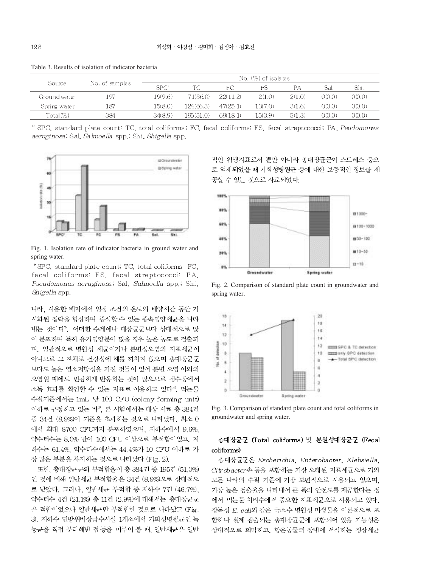|              |                |                  |           |          | $\mathbb N$ o. $(\%)$ of isolates |        |        |       |
|--------------|----------------|------------------|-----------|----------|-----------------------------------|--------|--------|-------|
| Source       | No. of samples | SPC <sup>1</sup> | TC.       | FC.      | FS                                | РA     | Sal.   | Shi.  |
| Ground water | 197            | 19(9.6)          | 71(36.0)  | 22(11.2) | 2(1.0)                            | 2(1.0) | O(0.0) | (0.0) |
| Spring water | 187            | 15(8.0)          | 124(66.3) | 47(25.1) | 13(7.0)                           | 3(1.6) | O(0.0) | (0.0) |
| $Total (\%)$ | 384            | 34(8.9)          | 195(51.0) | 69(18.1) | 15(3.9)                           | 5(1.3) | O(O.O) | (0.0) |

Table 3. Results of isolation of indicator bacteria

SPC, standard plate count; TC, total coliforms; FC, fecal coliforms; FS, fecal streptococci; PA, Peudomonas aeruginosa; Sal, Salmoella spp.; Shi, Shigella spp.



Fig. 1. Isolation rate of indicator bacteria in ground water and spring water.

\*SPC, standard plate count; TC, total coliforms FC. fecal coliforms; FS, fecal streptococci; PA, Pseudomonas aeruginosa, Sal, Salmoella spp., Shi, Shigella spp.

니라. 사용한 배지에서 일정 조건의 온도와 배양시간 동안 가 시화된 집락을 형성하며 증식할 수 있는 종속영양세균을 나타 내는 것이다". 어떠한 수계에나 대장균군보다 상대적으로 많 이 분포하며 특히 유기영양분이 많을 경우 높은 농도로 검출되 며, 일반적으로 병원성 세균이거나 분변성오염의 지표세균이 아니므로 그 자체로 건강상에 해를 끼치지 않으며 총대장균군 보다도 높은 염소저항성을 가진 것들이 있어 분변 오염 이외의 오염일 때에도 민감하게 반응하는 것이 많으므로 정수장에서 소독 효과를 확인할 수 있는 지표로 이용하고 있다<sup>8</sup>. 먹는물 수질기준에서는 1mL 당 100 CFU (colony forming unit) 이하로 규정하고 있는 바<sup>30</sup>, 본 시험에서는 대상 시료 총 384건 중 34건 (8.9%)이 기준을 초과하는 것으로 나타났다. 최소 0 에서 최대 8700 CFU까지 분포하였으며, 지하수에서 9.6%, 약수터수는 8.0% 만이 100 CFU 이상으로 부적합이었고, 지 하수는 61.4%. 약수터수에서는 44.4%가 10 CFU 이하로 가 장 많은 부분을 차지하는 것으로 나타났다 (Fig. 2).

또한, 총대장균군의 부적합율이 총 384건 중 195건 (51,0%) 인 것에 비해 일반세균 부적합율은 34건 (8.9%)으로 상대적으 로 낮았다. 그러나. 일반세균 부적합 중 지하수 7건 (46.7%). 약수터수 4건 (21.1%) 총 11건 (2.9%)에 대해서는 총대장균군 은 적합이었으나 일반세균만 부적합한 것으로 나타났고 (Fig. 3), 지하수 민방위비상급수시설 1개소에서 기회성병원균인 녹 농균을 직접 분리해낸 점 등을 미루어 볼 때, 일반세균은 일반 적인 위생지표로서 뿐만 아니라 총대장균군이 스트레스 등으 로 억제되었을 때 기회성병원균 등에 대한 보충적인 정보를 제 공할 수 있는 것으로 사료되었다.



Fig. 2. Comparison of standard plate count in groundwater and spring water.



Fig. 3. Comparison of standard plate count and total coliforms in groundwater and spring water.

## 총대장균군 (Total coliforms) 및 분원성대장균군 (Fecal coliforms)

총대장균군은 Escherichia, Enterobacter, Klebsiella, Citrobacter 속 등을 포함하는 가장 오래된 지표세균으로 거의 모든 나라의 수질 기준에 가장 보편적으로 사용되고 있으며, 가장 높은 검출율을 나타내어 큰 폭의 안전도를 제공한다는 점 에서 먹는물 처리수에서 중요한 지표세균으로 사용되고 있다. 장독성 E. coli와 같은 극소수 병원성 미생물을 이론적으로 포 함하나 실제 검출되는 총대장균군에 포함되어 있을 가능성은 상대적으로 희박하고, 항온동물의 장내에 서식하는 정상세균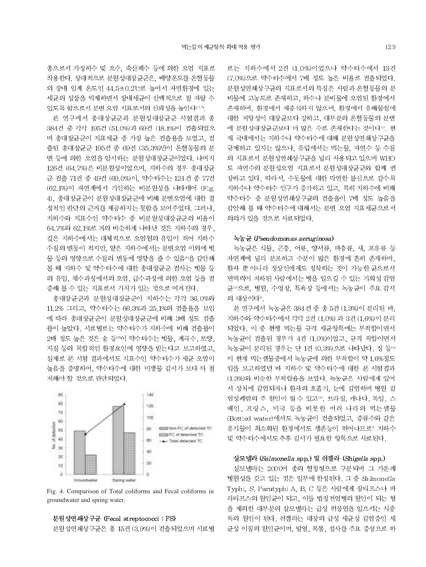총으로서 가정하수 및 오수, 축산폐수 등에 의한 오염 지표로 작용한다. 상대적으로 분원성대장균군은, 배양온도를 온혈동물 의 장내 임계 온도인 44.5±0.2℃로 높여서 자연환경에 있는 세균의 성장을 억제하면서 장내세균이 선택적으로 잘 자랄 수 있도록 함으로서 분변 오염 지표로서의 신뢰성을 높인다<sup>279</sup>.

본 연구에서 총대장균군과 분원성대장균군 시험결과 총 384건 중 각각 195건 (51.0%)과 69건 (18.1%)이 검출되었으 며 총대장균군이 지표세균 중 가장 높은 검출율을 보였고, 검 출된 총대장균군 195건 중 69건 (35.3%)만이 온혈동물의 분 변 등에 의한 오염을 암시하는 분원성대장균군이었다. 나머지 126건 (64.7%)은 비분원성이었으며, 지하수의 경우 총대장균 군 검출 71건 중 49건 (69.0%)이, 약수터수는 124건 중 77건 (62.1%)이 자연계에서 기인하는 비분원성을 나타내어 (Fig. 4). 총대장균군이 분원성대장균군에 비해 분변오염에 대한 결 정적인 판단의 근거를 제공하지는 못함을 보여주었다. 그러나. 지하수와 지표수인 약수터수 중 비분원성대장균군의 비율이 64.7%와 62.1%로 거의 비슷하게 나타난 것은 지하수의 경우, 깊은 지하수에서는 대체적으로 오염원의 유입이 적어 지하수 수질의 변동이 적지만, 얕은 지하수에서는 분변오염 이외에 빗 물 등의 영향으로 수질의 변동에 영향을 줄 수 있음®을 감안해 볼 때 지하수 및 약수터수에 대한 총대장균군 검사는 빗물 등 의 유입, 채수과정에서의 오염, 급수과정에 의한 오염 등을 검 증해 볼 수 있는 지표로서 가치가 있는 것으로 여겨진다.

총대장균군과 분원성대장균군이 지하수는 각각 36.0%와 11.2% 그리고, 약수터수는 66.3%과 25.1%의 검출율을 보임 에 따라 총대장균군이 분원성대장균군에 비해 3배 정도 검출 률이 높았다. 시료별로는 약수터수가 지하수에 비해 검출률이 2배 정도 높은 것은 송 등®이 약수터수는 빗물, 계곡수, 토양, 지질 등의 복합적인 환경요인에 영향을 받는다고 보고하였고, 실제로 본 시험 결과에서도 지표수인 약수터수가 세균 오염이 높음을 증명하여, 약수터수에 대한 미생물 감시가 보다 더 철 저해야 할 것으로 판단되었다.



Fig. 4. Comparison of Total coliforms and Fecal coliforms in groundwater and spring water.



분원성연쇄상구균은 총 15건 (3.9%)이 검출되었으며 시료별

로는 지하수에서 2건 (1.0%)이었으나 약수터수에서 13건 (7.0%)으로 약수터수에서 7배 정도 높은 비율로 검출되었다. 분원성연쇄상구균의 지표로서의 특징은 사람과 온혈동물의 분 비물에 고농도로 존재하고, 하수나 분비물에 오염된 환경에서 존재하며, 환경에서 재증식하지 않으며, 환경에서 유해물질에 대한 저항성이 대장균보다 강하고, 대부분의 온혈동물의 분변 에 분원성대장균군보다 더 많은 수로 존재한다는 것이다". 현 재 국내에서는 지하수나 약수터수에 대해 분원성연쇄상구균을 규제하고 있지는 않으나, 유럽에서는 먹는물, 자연수 등 수질 의 지표로서 분원성연쇄상구균을 널리 사용되고 있으며 WHO 도 자연수의 분원성오염 지표로서 분원성대장균군와 함께 권 장하고 있다. 따라서, 수돗물에 대한 막연한 불신으로 갈수록 지하수나 약수터수 인구가 증가하고 있고, 특히 지하수에 비해 약수터수 중 분원성연쇄상구균의 검출율이 7배 정도 높음을 감안해 볼 때 약수터수에 대해서는 분변 오염 지표세균으로서 의의가 있을 것으로 사료되었다.

#### 녹농균 (Pseudomonas aeruginosa)

녹농균은 식물, 곤충, 어류, 양서류, 파충류, 새, 포유류 등 자연계에 널리 분포하고 수분이 많은 환경에 흔히 존재하며. 환자 뿐 아니라 정상인에게도 정착하는 것이 가능한 균으로서 면역력이 저하된 사람에서는 병을 일으킬 수 있는 기회성 감염 균 으로, 병원, 수영장, 목욕장 등에서는 녹농균이 주요 감시 의 대상이다".

본 연구에서 녹농균은 384건 중 총 5건 (1.3%)이 분리된 바, 지하수와 약수터수에서 각각 2건 (1.0%) 과 3건 (1.6%)이 분리 되었다. 이 중 현행 먹는물 규격 세균항목에는 부적합이면서 녹농균이 검출된 경우가 4건 (1,0%)이었고, 규격 적합이면서 녹농균이 분리된 경우는 단 1건 (0.3%)으로 나타났다. 정 등13) 이 현재 먹는샘물중에서 녹농균에 의한 부적합이 약 1.6%정도 임을 보고하였던 바 지하수 및 약수터수에 대한 본 시험결과 (1.3%)와 비슷한 부적합율을 보였다. 녹농균은 사람에게 있어 서 상처에 감염되거나 환자의 호흡기, 눈에 감염하며 병원 감 염성폐렴의 주 원인이 될 수 있고12, 브라질, 캐나다, 독일, 스 페인, 프랑스, 미국 등을 비롯한 여러 나라의 먹는샘물 (Bottled water)에서도 녹농균이 검출되었고, 증류수와 같은 유기물이 최소화된 환경에서도 생존능이 뛰어나므로? 지하수 및 약수터수에서도 추후 감시가 필요한 항목으로 사료된다.

### 살모넬라 (Salmonella spp.) 및 쉬겔라 (Shigella spp.)

살모넬라는 2000여 종의 혈청형으로 구분되며 그 가운데 병원성을 갖고 있는 것은 일부에 한정된다. 그 중 Salmonella Typhi, S. Paratyphi A, B. C 등은 사람에게 장티프스나 파 라티프스의 원인균이 되고, 이들 법정전염병의 원인이 되는 형 을 제외한 대부분의 살모넬라는 급성 위장염을 일으키는 식중 독의 원인이 된다. 쉬겔라는 대장의 급성 세균성 감염증인 세 균성 이질의 원인균이며, 발열, 복통, 설사를 주요 증상으로 하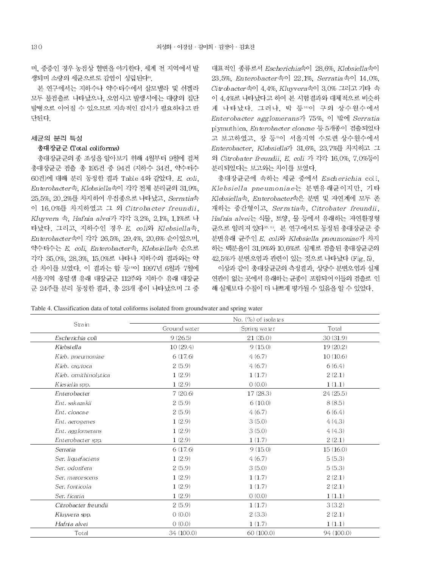며, 중증인 경우 농점상 혈변을 야기한다. 세계 전 지역에서 발 생되며 소량의 세균으로도 감염이 성립된다<sup>80</sup>

본 연구에서는 지하수나 약수터수에서 살모넬라 및 쉬겔라 모두 불검출로 나타났으나, 오염사고 발생시에는 대량의 집단 발병으로 이어질 수 있으므로 지속적인 감시가 필요하다고 판 다튀다

### 세균의 분리 특성

### 총대장균군 (Total coliforms)

총대장균군의 종 조성을 알아보기 위해 4월부터 9월에 걸쳐 총대장균군 검출 총 195건 중 94건 (지하수 34건, 약수터수 60건)에 대해 분리 동정한 결과 Table 4와 같았다. E. coli. Enterobacter속, Klebsiella속이 각각 전체 분리균의 31.9%, 25.5%, 20.2%를 차지하여 우전종으로 나타났고, Serratia속 이 16.0%를 차지하였고 그 외 Citrobacter freundii. Kluyvera 쇽, Hafnia alvei가 각각 3.2%, 2.1%, 1.1%로 나 타났다. 그리고, 지하수인 경우 E. coli와 Klebsiella속, Enterobacter속이 각각 26.5%, 29.4%, 20.6% 순이었으며, 약수터수는 E. coli, Enterobacter속, Klebsiella속 순으로 각각 35.0%, 28.3%, 15.0%로 나타나 지하수의 결과와는 약 간 차이를 보였다. 이 결과는 함 등40 1997년 6월과 7월에 서울지역 옹달샘 유래 대장균군 112주와 지하수 유래 대장균 군 24주를 분리 동정한 결과, 총 23개 종이 나타났으며 그 중

대표적인 종류로서 Escherichia속이 28.6%, Klebsiella속이 23.5%, Enterobacter속이 22.1%, Serratia속이 14.0%, Citrobacter속이 4.4%, Kluyvera속이 3.0% 그리고 기타 속 이 4.4%로 나타났다고 하여 본 시험결과와 대체적으로 비슷하 게 나타났다. 그러나, 박 등 이 구의 상수원수에서 Enterobacter agglomerans가 75%. 이 밖에 Serratia plymuthica, Enterobacter cloacae 등 5개종이 검출되었다 고 보고하였고, 장 등<sup>40</sup>이 서울지역 수도권 상수원수에서 Enterobacter, Klebsiella가 31.6%, 23.7%를 차지하고 그 외 Citrobater freundii, E. coli 가 각각 16.0%, 7.0%등이 분리되었다는 보고와는 차이를 보였다.

총대장균군에 속하는 세균 중에서 Escherichia coli. Klebsiella pneumoniae는 분변유래균이지만, 기타 Klebsiella속, Enterobacter속은 분변 및 자연계에 모두 존 재하는 중간형이고, Serratia속, Citrobater freundii, Hafnia alvei는 식물, 토양, 물 등에서 유래하는 자연환경형 균으로 알려져 있다<sup>10, 11</sup>. 본 연구에서도 동정된 총대장균군 중 분변유래 균주인 E. coli와 Klebsiella pneumoniae가 차지 하는 백분율이 31.9%와 10.6%로 실제로 검출된 총대장균군의 42.5%가 분변오염과 관련이 있는 것으로 나타났다 (Fig. 5).

이상과 같이 총대장균군의 측정결과, 상당수 분변오염과 실제 연관이 없는 곳에서 유래하는 균종이 포함되어 이들의 검출로 인 해 실제보다 수질이 더 나쁘게 평가될 수 있음을 알 수 있었다.

Table 4. Classification data of total coliforms isolated from groundwater and spring water

|                       | No. (%) of isolates |              |            |  |  |  |
|-----------------------|---------------------|--------------|------------|--|--|--|
| Strain                | Ground water        | Spring water | Total      |  |  |  |
| Escherichia coli      | 9(26.5)             | 21(35.0)     | 30(31.9)   |  |  |  |
| Klebsiella            | 10(29.4)            | 9(15.0)      | 19(20.2)   |  |  |  |
| Kleb. pneumoniae      | 6(17.6)             | 4(6.7)       | 10(10.6)   |  |  |  |
| Kleb. oxytoca         | 2(5.9)              | 4(6.7)       | 6(6.4)     |  |  |  |
| Kleb. omithinolytica  | 1(2.9)              | 1(1.7)       | 2(2.1)     |  |  |  |
| Klesiella spp.        | 1(2.9)              | 0(0.0)       | 1(1.1)     |  |  |  |
| Enterobacter          | 7(20.6)             | 17(28.3)     | 24(25.5)   |  |  |  |
| Ent. sakazakii        | 2(5.9)              | 6(10.0)      | 8(8.5)     |  |  |  |
| Ent. cloacae          | 2(5.9)              | 4(6.7)       | 6(6.4)     |  |  |  |
| Ent. aerogenes        | 1(2.9)              | 3(5.0)       | 4(4.3)     |  |  |  |
| Ent. agglomerans      | 1(2.9)              | 3(5.0)       | 4(4.3)     |  |  |  |
| Enterobacter spp.     | 1(2.9)              | 1(1.7)       | 2(2.1)     |  |  |  |
| Serratia              | 6(17.6)             | 9(15.0)      | 15(16.0)   |  |  |  |
| Ser. liquefaciens     | 1(2.9)              | 4(6.7)       | 5(5.3)     |  |  |  |
| Ser. odorifera        | 2(5.9)              | 3(5.0)       | 5(5.3)     |  |  |  |
| Ser. marcescens       | 1(2.9)              | 1(1.7)       | 2(2.1)     |  |  |  |
| Ser. fonticola        | 1(2.9)              | 1(1.7)       | 2(2.1)     |  |  |  |
| Ser. ficaria          | 1(2.9)              | 0(0.0)       | 1(1.1)     |  |  |  |
| Citrobacter fre undii | 2(5.9)              | 1(1.7)       | 3(3.2)     |  |  |  |
| Kluyvera spp.         | 0(0.0)              | 2(3.3)       | 2(2.1)     |  |  |  |
| Hafnia alvei          | 0(0.0)              | 1(1.7)       | 1(1.1)     |  |  |  |
| Total                 | 34 (100.0)          | 60 (100.0)   | 94 (100.0) |  |  |  |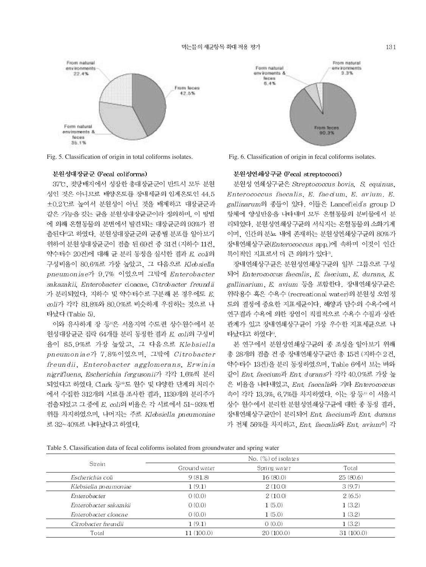

Fig. 5. Classification of origin in total coliforms isolates.

#### 분원성대장규군 (Fecal coliforms)

37℃, 젖당배지에서 성장한 총대장균군이 반드시 모두 분원 성인 것은 아니므로 배양온도를 장내세균의 임계온도인 44.5 ±0.2℃로 높여서 분원성이 아닌 것을 배제하고 대장균군과 같은 기능을 갖는 균을 분원성대장균군이라 정의하며, 이 방법 에 의해 온혈동물의 분변에서 발견되는 대장균군의 93%가 검 출된다"고 하였다. 분원성대장균군의 균종별 분포를 알아보기 위하여 분원성대장균군이 검출 된 69건 중 31건 (지하수 11건, 약수터수 20건)에 대해 균 분리 동정을 실시한 결과 E. coli의 구성비율이 80.6%로 가장 높았고, 그 다음으로 Klebsiella pneumoniae가 9.7% 이었으며 그밖에 Enterobacter sakazakii, Enterobacter cloacae, Citrobacter freundii 가 분리되었다. 지하수 및 약수터수로 구분해 본 경우에도 E. coli가 각각 81,8%와 80,0%로 비슷하게 우접하는 것으로 나 타났다 (Table 5).

이와 유사하게 장 등으은 서울지역 수도권 상수원수에서 분 원성대장균군 집락 64개를 분리 동정한 결과 E. coli의 구성비 율이 85.9%로 가장 높았고, 그 다음으로 Klebsiella pneumoniae가 7.8%이었으며, 그밖에 Citrobacter freundii, Enterobacter agglomerans, Erwinia nigrifluens, Escherichia fergusonii가 각각 1.6%씩 분리 되었다고 하였다. Clark 등®도 원수 및 다양한 단계의 처리수 에서 수집한 312개의 시료를 조사한 결과, 1139개의 분리주가 검출되었고 그 중에 E. coli의 비율은 각 시료에서 51~93% 법 위를 차지하였으며, 나머지는 주로 Klebsiella pneumoniae 로 32~40%로 나타났다고 하였다.





#### 분원성연쇄상구균 (Fecal streptococci)

분원성 연쇄상구균은 Streptococcus bovis, S. equinus, Enterococcus faecalis, E. faecium, E. avium, E. gallinarum의 종들이 있다. 이들은 Lancefield's group D 항체에 양성반응을 나타내며 모두 온혈동물의 분비물에서 분 리되었다. 분원성연쇄상구균의 서식지는 온혈동물의 소화기계 이며, 인간의 분뇨 내에 존재하는 분원성연쇄상구균의 80%가 장내연쇄상구균(Enterococcus spp.)에 속하며 이것이 인간 특이적인 지표로서 더 큰 의의가 있다".

장내연쇄상구균은 분원성연쇄상구균의 일부 그룹으로 구성 되어 Enterococcus faecalis, E. faecium, E. durans, E. gallinarium, E. avium 등을 포함한다. 장내연쇄상구균은 위락용수 혹은 수욕수 (recreational water)의 분원성 오염정 도의 결정에 중요한 지표세균이다. 해양과 담수의 수욕수에서 연구결과 수욕에 의한 장염이 직접적으로 수욕수 수질과 상관 관계가 있고 장내연쇄상구균이 가장 우수한 지표세균으로 나 타났다고 하였다<sup>®</sup>.

본 연구에서 분원성연쇄상구균의 종 조성을 알아보기 위해 총 28개의 검출 건 중 장내연쇄상구균만 총 15건 (지하수 2건, 약수터수 13건)을 분리 동정하였으며, Table 6에서 보는 바와 같이 Ent faecium과 Ent durans가 각각 40.0%로 가장 높 은 비율을 나타내었고. Ent. faecalis와 기타 Enterococcus 속이 각각 13.3%, 6.7%를 차지하였다. 이는 장 등<sup>4)</sup> 이 서울시 상수 원수에서 분리한 분원성연쇄상구균에 대한 종 동정 결과. 장내연쇄상구균만이 분리되어 Ent faecium과 Ent durans 가 전체 56%를 차지하고, Ent faecalis와 Ent avium이 각

Table 5. Classification data of fecal coliforms isolated from groundwater and spring water

| $\mathbb{N}_{\mathcal{O}}$ , $(\%)$ of isolates |           |
|-------------------------------------------------|-----------|
|                                                 |           |
| Ground water<br>Spring water                    | Total     |
| 9(81.8)<br>16(80.0)                             | 25(80.6)  |
| 1(9.1)<br>2(10,0)                               | 3(9.7)    |
| 0(0.0)<br>2(10,0)                               | 2(6.5)    |
| 0(0.0)<br>1(5.0)                                | 1(3.2)    |
| 0(0.0)<br>1(5.0)                                | 1(3.2)    |
| 1(9.1)<br>O(0.0)                                | 1(3.2)    |
| 11(100.0)<br>20(100.0)                          | 31(100.0) |
|                                                 |           |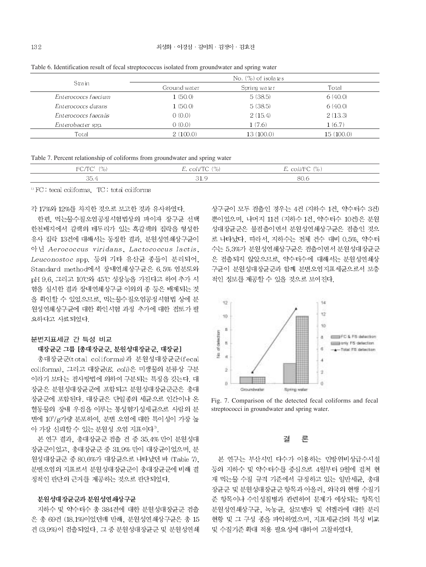No. (%) of isolates Strain Ground water Spring water Total Enterococcs faecium  $1(50,0)$  $5(38.5)$ 6 (40.0)  $1(50,0)$ Enterococcs durans  $5(38.5)$  $6(40.0)$ Enterococcs faecalis  $0(0.0)$  $2(15.4)$  $2(13,3)$ Enterobacter spp.  $0(0.0)$  $1(7.6)$  $1(6.7)$ Total  $2(100.0)$  $13(100.0)$ 15 (100.0)

Table 6. Identification result of fecal streptococcus isolated from groundwater and spring water

|  |  |  | Table 7. Percent relationship of coliforms from groundwater and spring water |
|--|--|--|------------------------------------------------------------------------------|
|  |  |  |                                                                              |
|  |  |  |                                                                              |
|  |  |  |                                                                              |

| EC ITC<br>7O I<br>$\sim$ | $E.$ coli/TC $(\%)$ | $E.$ coli/FC $(\%)$ |  |
|--------------------------|---------------------|---------------------|--|
| 35.                      | -01.1               | 80.6                |  |

<sup>11</sup> FC: tecal coliforms, TC: total coliforms

각 17%와 12%를 차지한 것으로 보고한 것과 유사하였다.

한편. 먹는물수질오염공정시험법상의 파이자 장구균 선택 한천배지에서 갈색의 테두리가 있는 흑갈색의 집락을 형성한 유사 집락 13건에 대해서는 동정한 결과, 분원성연쇄상구균이 아닌 Aerococcus viridans, Lactococcus lactis, Leuconostoc spp. 등의 기타 유산균 종들이 분리되어, Standard method에서 장내연쇄상구균은 6.5% 염분도와 pH 9.6. 그리고 10℃와 45℃ 성장능을 가진다고 하여 추가 시 험을 실시한 결과 장내연쇄상구균 이외의 종 등은 배제되는 것 을 확인할 수 있었으므로, 먹는물수질오염공정시험법 상에 분 원성연쇄상구균에 대한 확인시험 과정 추가에 대한 검토가 필 요하다고 사료되었다.

#### 분변지표세균 간 특성 비교

### 대장균군 그룹 [총대장균군, 분원성대장균군, 대장균]

총대장균군(total coliforms)과 분원성대장균군(fecal coliforms). 그리고 대장균(E. coli)은 미생물의 분류상 구분 이라기 보다는 검사방법에 의하여 구분되는 특징을 갖는다. 대 장균은 분원성대장균군에 포함되고 분원성대장균군군은 총대 장균군에 포함된다. 대장균은 단일종의 세균으로 인간이나 온 혈동물의 장내 우점을 이루는 통성혐기성세균으로 사람의 분 변에 10°/g가량 분포하여, 분변 오염에 대한 특이성이 가장 높 아 가장 신뢰할 수 있는 분원성 오염 지표이다".

본 연구 결과, 총대장균군 검출 건 중 35.4% 만이 분원성대 장균군이었고, 총대장균군 중 31.9% 만이 대장균이었으며, 분 원성대장균군 중 80.6%가 대장균으로 나타났던 바 (Table 7). 분변오염의 지표로서 분원성대장균군이 총대장균군에 비해 결 정적인 판단의 근거를 제공하는 것으로 판단되었다.

### 분원성대장균군과 분원성연쇄상구균

지하수 및 약수터수 총 384건에 대한 분원성대장균군 검출 은 총 69건 (18.1%)이었던데 반해, 분원성연쇄상구균은 총 15 건 (3.9%)이 검출되었다. 그 중 분원성대장균군 및 분원성연쇄 상구균이 모두 검출인 경우는 4건 (지하수 1건, 약수터수 3건) 뿐이었으며, 나머지 11건 (지하수 1건, 약수터수 10건)은 분원 성대장균군은 불검출이면서 분원성연쇄상구균은 검출인 것으 로 나타났다. 따라서, 지하수는 전체 건수 대비 0.5%, 약수터 수는 5.3%가 분원성연쇄상구균은 검출이면서 분원성대장균군 은 검출되지 않았으므로, 약수터수에 대해서는 분원성연쇄상 구균이 분원성대장균군과 함께 분변오염지표세균으로서 보충 적인 정보를 제공할 수 있을 것으로 보여진다.



Fig. 7. Comparison of the detected fecal coliforms and fecal streptococci in groundwater and spring water.

론 결

본 연구는 부산시민 다수가 이용하는 민방위비상급수시설 등의 지하수 및 약수터수를 중심으로 4월부터 9월에 걸쳐 현 재 먹는물 수질 규격 기준에서 규정하고 있는 일반세균, 총대 장균군 및 분원성대장균군 항목과 아울러, 외국의 현행 수질기 준 항목이나 수인성질병과 관련하여 문제가 예상되는 항목인 분원성연쇄상구균, 녹농균, 살모넬라 및 쉬겔라에 대한 분리 현황 및 그 구성 종을 파악하였으며, 지표세균간의 특성 비교 및 수질기준 확대 적용 필요성에 대하여 고찰하였다.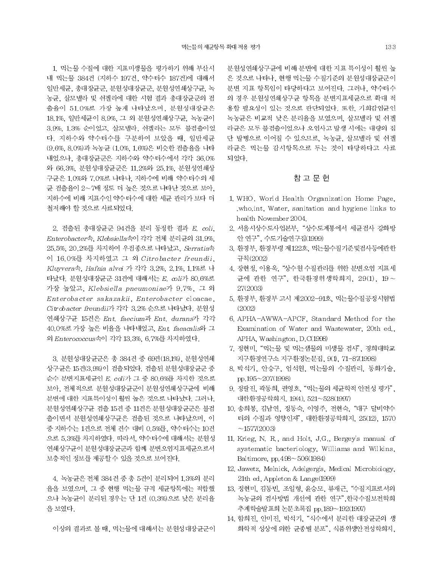1. 먹는물 수질에 대한 지표미생물을 평가하기 위해 부산시 내 먹는물 384건 (지하수 197건, 약수터수 187건)에 대해서 일반세균, 총대장균군, 분원성대장균군, 분원성연쇄상구균, 녹 농균, 살모넬라 및 쉬겔라에 대한 시험 결과 총대장균군의 검 출율이 51.0%로 가장 높게 나타났으며, 분원성대장균은 18.1%, 일반세균이 8.9%, 그 외 분원성연쇄상구균, 녹농균이 3.9%, 1.3% 순이었고, 살모넬라, 쉬겔라는 모두 불검출이었 다. 지하수와 약수터수를 구분하여 보았을 때. 일반세균 (9.6%, 8.0%)과 녹농균 (1.0%, 1.6%)은 비슷한 검출율을 나타 내었으나, 총대장균군은 지하수와 약수터수에서 각각 36.0% 와 66.3%. 분원성대장균군은 11.2%와 25.1%. 분원성연쇄상 구균은 1,0%와 7,0%로 나타나, 지하수에 비해 약수터수의 세 균 검출율이 2~7배 정도 더 높은 것으로 나타난 것으로 보아, 지하수에 비해 지표수인 약수터수에 대한 세균 관리가 보다 더 철저해야 할 것으로 사료되었다.

2. 검출된 총대장균군 94건을 분리 동정한 결과 E. coli, Enterobacter속, Klebsiella속이 각각 전체 분리균의 31.9%, 25.5%, 20.2%를 차지하여 우점종으로 나타났고, Serratia속 이 16.0%를 차지하였고 그 외 Citrobacter freundii. Kluyvera속, Hafnia alvei 가 각각 3.2%, 2.1%, 1.1%로 나 타났다. 분원성대장균군 31건에 대해서는 E. coli가 80.6%로 가장 높았고, Klebsiella pneumoniae가 9.7%, 그 외 Enterobacter sakazakii, Enterobacter cloacae, Citrobacter freundii가 각각 3.2% 순으로 나타났다. 분원성 연쇄상구균 15건은 Ent. faecium과 Ent. durans가 각각 40.0%로 가장 높은 비율을 나타내었고, Ent faeacalis와 그 외 Enterococcus속이 각각 13.3%, 6.7%를 차지하였다.

3. 분원성대장균군은 총 384건 중 69건(18.1%), 분원성연쇄 상구균은 15건(3.9%)이 검출되었다. 검출된 분원성대장균군 중 순수 분변지표세균인 E. coli가 그 중 80.6%를 차지한 것으로 보아, 전체적으로 분원성대장균군이 분원성연쇄상구균에 비해 분변에 대한 지표특이성이 훨씬 높은 것으로 나타났다. 그러나, 분원성연쇄상구균 검출 15건 중 11건은 분원성대장균군은 불검 출이면서 분원성연쇄상구균은 검출된 것으로 나타났으며, 이 중 지하수는 1건으로 전체 건수 대비 0.5%를, 약수터수는 10건 으로 5.3%를 차지하였다. 따라서, 약수터수에 대해서는 분원성 연쇄상구균이 분원성대장균군과 함께 분변오염지표세균으로서 보충적인 정보를 제공할 수 있을 것으로 보여진다.

4. 녹농균은 전체 384건 중 총 5건이 분리되어 1.3%의 분리 율을 보였으며, 그 중 현행 먹는물 규격 세균항목에는 적합했 으나 녹농균이 분리된 경우는 단 1건 (0.3%)으로 낮은 분리율 을 보였다.

이상의 결과로 볼 때, 먹는물에 대해서는 분원성대장균군이

분원성연쇄상구균에 비해 분변에 대한 지표 특이성이 훨씬 높 은 것으로 나타나. 현행 먹는물 수질기준의 분원성대장균군이 분변 지표 항목임이 타당하다고 보여진다. 그러나, 약수터수 의 경우 분원성연쇄상구균 항목을 분변지표세균으로 확대 적 용할 필요성이 있는 것으로 판단되었다. 또한, 기회감염균인 녹농균은 비교적 낮은 분리율을 보였으며, 살모넬라 및 쉬겔 라균은 모두 불검출이었으나 오염사고 발생 시에는 대량의 집 단 발병으로 이어질 수 있으므로, 녹농균, 살모넬라 및 쉬겔 라균은 먹는물 감시항목으로 두는 것이 타당하다고 사료 되었다.

### 참 고 문 헌

- 1. WHO. World Health Organization Home Page. who.int. Water, sanitation and hygiene links to health November 2004.
- 2. 서울시상수도사업본부, "상수도계통에서 세균검사 강화방 안 연구", 수도기술연구집(1999)
- 3. 환경부, 환경부령 제122호, 먹는물수질기준및검사등에관한 규칙(2002)
- 4. 장현정. 이용욱. "상수원 수질관리를 위한 분변오염 지표세 균에 관한 연구", 한국환경위생학회지, 29(1), 19 ~ 27(2003)
- 5. 환경부. 환경부 고시 제2002-91호. 먹는물수질공정시험법  $(2002)$
- 6. APHA-AWWA-APCF. Standard Method for the Examination of Water and Wastewater, 20th ed., APHA, Washington, D.C(1998)
- 7. 정현미, "먹는물 및 먹는샘물의 미생물 검사", 경희대학교 지구환경연구소 지구환경논문집, 9(1), 71-87(1998)
- 8. 박석기, 안승구, 엄석원, 먹는물의 수질관리, 동화기술, pp.195~207(1998)
- 9. 정팔진, 곽동희, 권영호, "먹는물의 세균학적 안전성 평가". 대한환경공학회지, 19(4), 521~528(1997)
- 10. 송희봉, 김남연, 정동숙, 이영주, 전현숙, "대구 달비약수 터의 수질과 영향인자", 대한환경공학회지, 25(12), 1570  $~1577(2003)$
- 11. Krieg, N. R., and Holt, J.G., Bergey's manual of systematic bacteriology, Williams and Wilkins, Baltimore, pp.498~506(1984)
- 12. Jawetz, Melnick, Adelgerg's, Medical Microbiology, 21th ed. Appleton & Lange(1999)
- 13. 정현미, 김동빈, 조일형, 윤승모, 류재근, "수질지표로서의 녹농균의 검사방법 개선에 관한 연구", 한국수질보전학회 추계학술발표회 논문초록집 pp.189~192(1997)
- 14. 함희진, 안미진, 박석기, "식수에서 분리한 대장균군의 생 화학적 성상에 의한 균종별 분포", 식품위생안전성학회지,